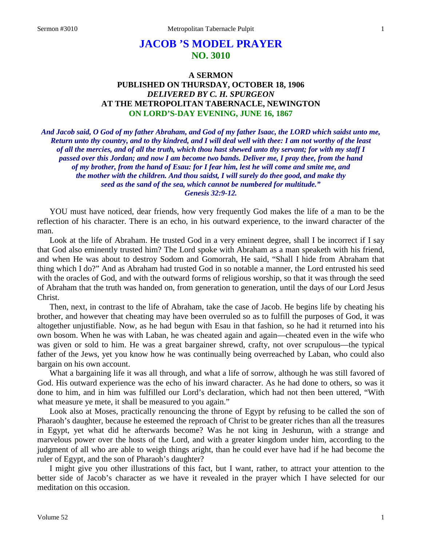# **JACOB 'S MODEL PRAYER NO. 3010**

## **A SERMON PUBLISHED ON THURSDAY, OCTOBER 18, 1906** *DELIVERED BY C. H. SPURGEON* **AT THE METROPOLITAN TABERNACLE, NEWINGTON ON LORD'S-DAY EVENING, JUNE 16, 1867**

*And Jacob said, O God of my father Abraham, and God of my father Isaac, the LORD which saidst unto me, Return unto thy country, and to thy kindred, and I will deal well with thee: I am not worthy of the least of all the mercies, and of all the truth, which thou hast shewed unto thy servant; for with my staff I passed over this Jordan; and now I am become two bands. Deliver me, I pray thee, from the hand of my brother, from the hand of Esau: for I fear him, lest he will come and smite me, and the mother with the children. And thou saidst, I will surely do thee good, and make thy seed as the sand of the sea, which cannot be numbered for multitude." Genesis 32:9-12.*

YOU must have noticed, dear friends, how very frequently God makes the life of a man to be the reflection of his character. There is an echo, in his outward experience, to the inward character of the man.

Look at the life of Abraham. He trusted God in a very eminent degree, shall I be incorrect if I say that God also eminently trusted him? The Lord spoke with Abraham as a man speaketh with his friend, and when He was about to destroy Sodom and Gomorrah, He said, "Shall I hide from Abraham that thing which I do?" And as Abraham had trusted God in so notable a manner, the Lord entrusted his seed with the oracles of God, and with the outward forms of religious worship, so that it was through the seed of Abraham that the truth was handed on, from generation to generation, until the days of our Lord Jesus Christ.

Then, next, in contrast to the life of Abraham, take the case of Jacob. He begins life by cheating his brother, and however that cheating may have been overruled so as to fulfill the purposes of God, it was altogether unjustifiable. Now, as he had begun with Esau in that fashion, so he had it returned into his own bosom. When he was with Laban, he was cheated again and again—cheated even in the wife who was given or sold to him. He was a great bargainer shrewd, crafty, not over scrupulous—the typical father of the Jews, yet you know how he was continually being overreached by Laban, who could also bargain on his own account.

What a bargaining life it was all through, and what a life of sorrow, although he was still favored of God. His outward experience was the echo of his inward character. As he had done to others, so was it done to him, and in him was fulfilled our Lord's declaration, which had not then been uttered, "With what measure ye mete, it shall be measured to you again."

Look also at Moses, practically renouncing the throne of Egypt by refusing to be called the son of Pharaoh's daughter, because he esteemed the reproach of Christ to be greater riches than all the treasures in Egypt, yet what did he afterwards become? Was he not king in Jeshurun, with a strange and marvelous power over the hosts of the Lord, and with a greater kingdom under him, according to the judgment of all who are able to weigh things aright, than he could ever have had if he had become the ruler of Egypt, and the son of Pharaoh's daughter?

I might give you other illustrations of this fact, but I want, rather, to attract your attention to the better side of Jacob's character as we have it revealed in the prayer which I have selected for our meditation on this occasion.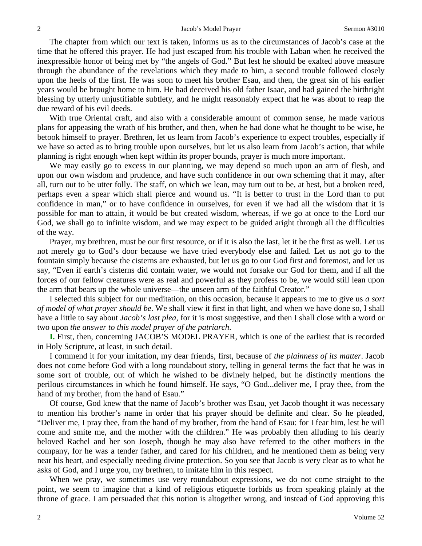The chapter from which our text is taken, informs us as to the circumstances of Jacob's case at the time that he offered this prayer. He had just escaped from his trouble with Laban when he received the inexpressible honor of being met by "the angels of God." But lest he should be exalted above measure through the abundance of the revelations which they made to him, a second trouble followed closely upon the heels of the first. He was soon to meet his brother Esau, and then, the great sin of his earlier years would be brought home to him. He had deceived his old father Isaac, and had gained the birthright blessing by utterly unjustifiable subtlety, and he might reasonably expect that he was about to reap the due reward of his evil deeds.

With true Oriental craft, and also with a considerable amount of common sense, he made various plans for appeasing the wrath of his brother, and then, when he had done what he thought to be wise, he betook himself to prayer. Brethren, let us learn from Jacob's experience to expect troubles, especially if we have so acted as to bring trouble upon ourselves, but let us also learn from Jacob's action, that while planning is right enough when kept within its proper bounds, prayer is much more important.

We may easily go to excess in our planning, we may depend so much upon an arm of flesh, and upon our own wisdom and prudence, and have such confidence in our own scheming that it may, after all, turn out to be utter folly. The staff, on which we lean, may turn out to be, at best, but a broken reed, perhaps even a spear which shall pierce and wound us. "It is better to trust in the Lord than to put confidence in man," or to have confidence in ourselves, for even if we had all the wisdom that it is possible for man to attain, it would be but created wisdom, whereas, if we go at once to the Lord our God, we shall go to infinite wisdom, and we may expect to be guided aright through all the difficulties of the way.

Prayer, my brethren, must be our first resource, or if it is also the last, let it be the first as well. Let us not merely go to God's door because we have tried everybody else and failed. Let us not go to the fountain simply because the cisterns are exhausted, but let us go to our God first and foremost, and let us say, "Even if earth's cisterns did contain water, we would not forsake our God for them, and if all the forces of our fellow creatures were as real and powerful as they profess to be, we would still lean upon the arm that bears up the whole universe—the unseen arm of the faithful Creator."

I selected this subject for our meditation, on this occasion, because it appears to me to give us *a sort of model of what prayer should be*. We shall view it first in that light, and when we have done so, I shall have a little to say about *Jacob's last plea,* for it is most suggestive, and then I shall close with a word or two upon *the answer to this model prayer of the patriarch*.

**I.** First, then, concerning JACOB'S MODEL PRAYER, which is one of the earliest that is recorded in Holy Scripture, at least, in such detail.

I commend it for your imitation, my dear friends, first, because of *the plainness of its matter*. Jacob does not come before God with a long roundabout story, telling in general terms the fact that he was in some sort of trouble, out of which he wished to be divinely helped, but he distinctly mentions the perilous circumstances in which he found himself. He says, "O God...deliver me, I pray thee, from the hand of my brother, from the hand of Esau."

Of course, God knew that the name of Jacob's brother was Esau, yet Jacob thought it was necessary to mention his brother's name in order that his prayer should be definite and clear. So he pleaded, "Deliver me, I pray thee, from the hand of my brother, from the hand of Esau: for I fear him, lest he will come and smite me, and the mother with the children." He was probably then alluding to his dearly beloved Rachel and her son Joseph, though he may also have referred to the other mothers in the company, for he was a tender father, and cared for his children, and he mentioned them as being very near his heart, and especially needing divine protection. So you see that Jacob is very clear as to what he asks of God, and I urge you, my brethren, to imitate him in this respect.

When we pray, we sometimes use very roundabout expressions, we do not come straight to the point, we seem to imagine that a kind of religious etiquette forbids us from speaking plainly at the throne of grace. I am persuaded that this notion is altogether wrong, and instead of God approving this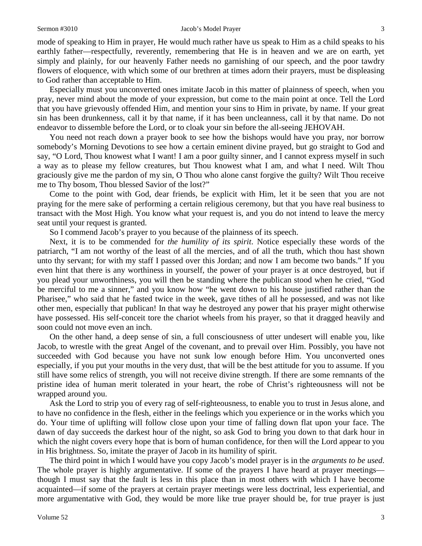#### Sermon #3010 **Sermon #3010** Jacob's Model Prayer 3

mode of speaking to Him in prayer, He would much rather have us speak to Him as a child speaks to his earthly father—respectfully, reverently, remembering that He is in heaven and we are on earth, yet simply and plainly, for our heavenly Father needs no garnishing of our speech, and the poor tawdry flowers of eloquence, with which some of our brethren at times adorn their prayers, must be displeasing to God rather than acceptable to Him.

Especially must you unconverted ones imitate Jacob in this matter of plainness of speech, when you pray, never mind about the mode of your expression, but come to the main point at once. Tell the Lord that you have grievously offended Him, and mention your sins to Him in private, by name. If your great sin has been drunkenness, call it by that name, if it has been uncleanness, call it by that name. Do not endeavor to dissemble before the Lord, or to cloak your sin before the all-seeing JEHOVAH.

You need not reach down a prayer book to see how the bishops would have you pray, nor borrow somebody's Morning Devotions to see how a certain eminent divine prayed, but go straight to God and say, "O Lord, Thou knowest what I want! I am a poor guilty sinner, and I cannot express myself in such a way as to please my fellow creatures, but Thou knowest what I am, and what I need. Wilt Thou graciously give me the pardon of my sin, O Thou who alone canst forgive the guilty? Wilt Thou receive me to Thy bosom, Thou blessed Savior of the lost?"

Come to the point with God, dear friends, be explicit with Him, let it be seen that you are not praying for the mere sake of performing a certain religious ceremony, but that you have real business to transact with the Most High. You know what your request is, and you do not intend to leave the mercy seat until your request is granted.

So I commend Jacob's prayer to you because of the plainness of its speech.

Next, it is to be commended for *the humility of its spirit*. Notice especially these words of the patriarch, "I am not worthy of the least of all the mercies, and of all the truth, which thou hast shown unto thy servant; for with my staff I passed over this Jordan; and now I am become two bands." If you even hint that there is any worthiness in yourself, the power of your prayer is at once destroyed, but if you plead your unworthiness, you will then be standing where the publican stood when he cried, "God be merciful to me a sinner," and you know how "he went down to his house justified rather than the Pharisee," who said that he fasted twice in the week, gave tithes of all he possessed, and was not like other men, especially that publican! In that way he destroyed any power that his prayer might otherwise have possessed. His self-conceit tore the chariot wheels from his prayer, so that it dragged heavily and soon could not move even an inch.

On the other hand, a deep sense of sin, a full consciousness of utter undesert will enable you, like Jacob, to wrestle with the great Angel of the covenant, and to prevail over Him. Possibly, you have not succeeded with God because you have not sunk low enough before Him. You unconverted ones especially, if you put your mouths in the very dust, that will be the best attitude for you to assume. If you still have some relics of strength, you will not receive divine strength. If there are some remnants of the pristine idea of human merit tolerated in your heart, the robe of Christ's righteousness will not be wrapped around you.

Ask the Lord to strip you of every rag of self-righteousness, to enable you to trust in Jesus alone, and to have no confidence in the flesh, either in the feelings which you experience or in the works which you do. Your time of uplifting will follow close upon your time of falling down flat upon your face. The dawn of day succeeds the darkest hour of the night, so ask God to bring you down to that dark hour in which the night covers every hope that is born of human confidence, for then will the Lord appear to you in His brightness. So, imitate the prayer of Jacob in its humility of spirit.

The third point in which I would have you copy Jacob's model prayer is in the *arguments to be used*. The whole prayer is highly argumentative. If some of the prayers I have heard at prayer meetings though I must say that the fault is less in this place than in most others with which I have become acquainted—if some of the prayers at certain prayer meetings were less doctrinal, less experiential, and more argumentative with God, they would be more like true prayer should be, for true prayer is just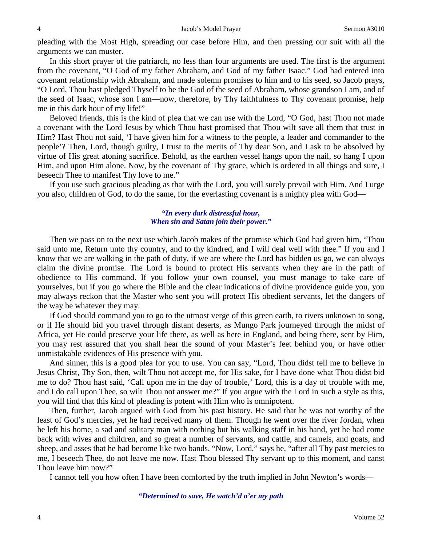pleading with the Most High, spreading our case before Him, and then pressing our suit with all the arguments we can muster.

In this short prayer of the patriarch, no less than four arguments are used. The first is the argument from the covenant, "O God of my father Abraham, and God of my father Isaac." God had entered into covenant relationship with Abraham, and made solemn promises to him and to his seed, so Jacob prays, "O Lord, Thou hast pledged Thyself to be the God of the seed of Abraham, whose grandson I am, and of the seed of Isaac, whose son I am—now, therefore, by Thy faithfulness to Thy covenant promise, help me in this dark hour of my life!"

Beloved friends, this is the kind of plea that we can use with the Lord, "O God, hast Thou not made a covenant with the Lord Jesus by which Thou hast promised that Thou wilt save all them that trust in Him? Hast Thou not said, 'I have given him for a witness to the people, a leader and commander to the people'? Then, Lord, though guilty, I trust to the merits of Thy dear Son, and I ask to be absolved by virtue of His great atoning sacrifice. Behold, as the earthen vessel hangs upon the nail, so hang I upon Him, and upon Him alone. Now, by the covenant of Thy grace, which is ordered in all things and sure, I beseech Thee to manifest Thy love to me."

If you use such gracious pleading as that with the Lord, you will surely prevail with Him. And I urge you also, children of God, to do the same, for the everlasting covenant is a mighty plea with God—

#### *"In every dark distressful hour, When sin and Satan join their power."*

Then we pass on to the next use which Jacob makes of the promise which God had given him, "Thou said unto me, Return unto thy country, and to thy kindred, and I will deal well with thee." If you and I know that we are walking in the path of duty, if we are where the Lord has bidden us go, we can always claim the divine promise. The Lord is bound to protect His servants when they are in the path of obedience to His command. If you follow your own counsel, you must manage to take care of yourselves, but if you go where the Bible and the clear indications of divine providence guide you, you may always reckon that the Master who sent you will protect His obedient servants, let the dangers of the way be whatever they may.

If God should command you to go to the utmost verge of this green earth, to rivers unknown to song, or if He should bid you travel through distant deserts, as Mungo Park journeyed through the midst of Africa, yet He could preserve your life there, as well as here in England, and being there, sent by Him, you may rest assured that you shall hear the sound of your Master's feet behind you, or have other unmistakable evidences of His presence with you.

And sinner, this is a good plea for you to use. You can say, "Lord, Thou didst tell me to believe in Jesus Christ, Thy Son, then, wilt Thou not accept me, for His sake, for I have done what Thou didst bid me to do? Thou hast said, 'Call upon me in the day of trouble,' Lord, this is a day of trouble with me, and I do call upon Thee, so wilt Thou not answer me?" If you argue with the Lord in such a style as this, you will find that this kind of pleading is potent with Him who is omnipotent.

Then, further, Jacob argued with God from his past history. He said that he was not worthy of the least of God's mercies, yet he had received many of them. Though he went over the river Jordan, when he left his home, a sad and solitary man with nothing but his walking staff in his hand, yet he had come back with wives and children, and so great a number of servants, and cattle, and camels, and goats, and sheep, and asses that he had become like two bands. "Now, Lord," says he, "after all Thy past mercies to me, I beseech Thee, do not leave me now. Hast Thou blessed Thy servant up to this moment, and canst Thou leave him now?"

I cannot tell you how often I have been comforted by the truth implied in John Newton's words—

#### *"Determined to save, He watch'd o'er my path*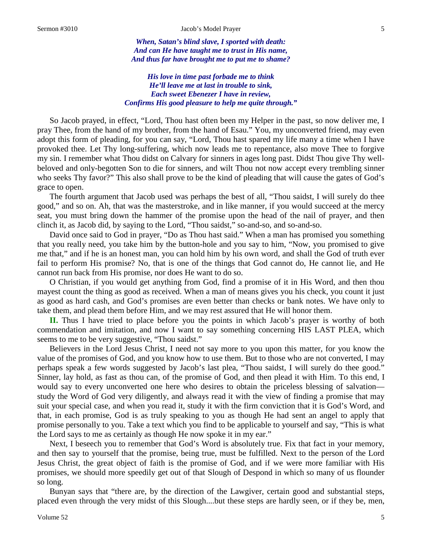*When, Satan's blind slave, I sported with death: And can He have taught me to trust in His name, And thus far have brought me to put me to shame?*

*His love in time past forbade me to think He'll leave me at last in trouble to sink, Each sweet Ebenezer I have in review, Confirms His good pleasure to help me quite through."*

So Jacob prayed, in effect, "Lord, Thou hast often been my Helper in the past, so now deliver me, I pray Thee, from the hand of my brother, from the hand of Esau." You, my unconverted friend, may even adopt this form of pleading, for you can say, "Lord, Thou hast spared my life many a time when I have provoked thee. Let Thy long-suffering, which now leads me to repentance, also move Thee to forgive my sin. I remember what Thou didst on Calvary for sinners in ages long past. Didst Thou give Thy wellbeloved and only-begotten Son to die for sinners, and wilt Thou not now accept every trembling sinner who seeks Thy favor?" This also shall prove to be the kind of pleading that will cause the gates of God's grace to open.

The fourth argument that Jacob used was perhaps the best of all, "Thou saidst, I will surely do thee good," and so on. Ah, that was the masterstroke, and in like manner, if you would succeed at the mercy seat, you must bring down the hammer of the promise upon the head of the nail of prayer, and then clinch it, as Jacob did, by saying to the Lord, "Thou saidst," so-and-so, and so-and-so.

David once said to God in prayer, "Do as Thou hast said." When a man has promised you something that you really need, you take him by the button-hole and you say to him, "Now, you promised to give me that," and if he is an honest man, you can hold him by his own word, and shall the God of truth ever fail to perform His promise? No, that is one of the things that God cannot do, He cannot lie, and He cannot run back from His promise, nor does He want to do so.

O Christian, if you would get anything from God, find a promise of it in His Word, and then thou mayest count the thing as good as received. When a man of means gives you his check, you count it just as good as hard cash, and God's promises are even better than checks or bank notes. We have only to take them, and plead them before Him, and we may rest assured that He will honor them.

**II.** Thus I have tried to place before you the points in which Jacob's prayer is worthy of both commendation and imitation, and now I want to say something concerning HIS LAST PLEA, which seems to me to be very suggestive, "Thou saidst."

Believers in the Lord Jesus Christ, I need not say more to you upon this matter, for you know the value of the promises of God, and you know how to use them. But to those who are not converted, I may perhaps speak a few words suggested by Jacob's last plea, "Thou saidst, I will surely do thee good." Sinner, lay hold, as fast as thou can, of the promise of God, and then plead it with Him. To this end, I would say to every unconverted one here who desires to obtain the priceless blessing of salvation study the Word of God very diligently, and always read it with the view of finding a promise that may suit your special case, and when you read it, study it with the firm conviction that it is God's Word, and that, in each promise, God is as truly speaking to you as though He had sent an angel to apply that promise personally to you. Take a text which you find to be applicable to yourself and say, "This is what the Lord says to me as certainly as though He now spoke it in my ear."

Next, I beseech you to remember that God's Word is absolutely true. Fix that fact in your memory, and then say to yourself that the promise, being true, must be fulfilled. Next to the person of the Lord Jesus Christ, the great object of faith is the promise of God, and if we were more familiar with His promises, we should more speedily get out of that Slough of Despond in which so many of us flounder so long.

Bunyan says that "there are, by the direction of the Lawgiver, certain good and substantial steps, placed even through the very midst of this Slough....but these steps are hardly seen, or if they be, men,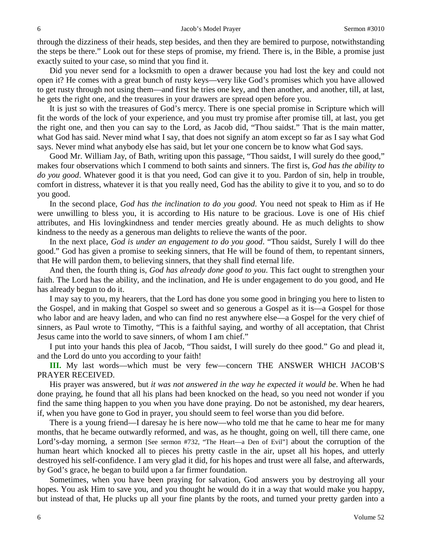through the dizziness of their heads, step besides, and then they are bemired to purpose, notwithstanding the steps be there." Look out for these steps of promise, my friend. There is, in the Bible, a promise just exactly suited to your case, so mind that you find it.

Did you never send for a locksmith to open a drawer because you had lost the key and could not open it? He comes with a great bunch of rusty keys—very like God's promises which you have allowed to get rusty through not using them—and first he tries one key, and then another, and another, till, at last, he gets the right one, and the treasures in your drawers are spread open before you.

It is just so with the treasures of God's mercy. There is one special promise in Scripture which will fit the words of the lock of your experience, and you must try promise after promise till, at last, you get the right one, and then you can say to the Lord, as Jacob did, "Thou saidst." That is the main matter, what God has said. Never mind what I say, that does not signify an atom except so far as I say what God says. Never mind what anybody else has said, but let your one concern be to know what God says.

Good Mr. William Jay, of Bath, writing upon this passage, "Thou saidst, I will surely do thee good," makes four observations which I commend to both saints and sinners. The first is, *God has the ability to do you good*. Whatever good it is that you need, God can give it to you. Pardon of sin, help in trouble, comfort in distress, whatever it is that you really need, God has the ability to give it to you, and so to do you good.

In the second place, *God has the inclination to do you good*. You need not speak to Him as if He were unwilling to bless you, it is according to His nature to be gracious. Love is one of His chief attributes, and His lovingkindness and tender mercies greatly abound. He as much delights to show kindness to the needy as a generous man delights to relieve the wants of the poor.

In the next place, *God is under an engagement to do you good*. "Thou saidst, Surely I will do thee good." God has given a promise to seeking sinners, that He will be found of them, to repentant sinners, that He will pardon them, to believing sinners, that they shall find eternal life.

And then, the fourth thing is, *God has already done good to you*. This fact ought to strengthen your faith. The Lord has the ability, and the inclination, and He is under engagement to do you good, and He has already begun to do it.

I may say to you, my hearers, that the Lord has done you some good in bringing you here to listen to the Gospel, and in making that Gospel so sweet and so generous a Gospel as it is—a Gospel for those who labor and are heavy laden, and who can find no rest anywhere else—a Gospel for the very chief of sinners, as Paul wrote to Timothy, "This is a faithful saying, and worthy of all acceptation, that Christ Jesus came into the world to save sinners, of whom I am chief."

I put into your hands this plea of Jacob, "Thou saidst, I will surely do thee good." Go and plead it, and the Lord do unto you according to your faith!

**III.** My last words—which must be very few—concern THE ANSWER WHICH JACOB'S PRAYER RECEIVED.

His prayer was answered, but *it was not answered in the way he expected it would be*. When he had done praying, he found that all his plans had been knocked on the head, so you need not wonder if you find the same thing happen to you when you have done praying. Do not be astonished, my dear hearers, if, when you have gone to God in prayer, you should seem to feel worse than you did before.

There is a young friend—I daresay he is here now—who told me that he came to hear me for many months, that he became outwardly reformed, and was, as he thought, going on well, till there came, one Lord's-day morning, a sermon [See sermon #732, "The Heart—a Den of Evil"] about the corruption of the human heart which knocked all to pieces his pretty castle in the air, upset all his hopes, and utterly destroyed his self-confidence. I am very glad it did, for his hopes and trust were all false, and afterwards, by God's grace, he began to build upon a far firmer foundation.

Sometimes, when you have been praying for salvation, God answers you by destroying all your hopes. You ask Him to save you, and you thought he would do it in a way that would make you happy, but instead of that, He plucks up all your fine plants by the roots, and turned your pretty garden into a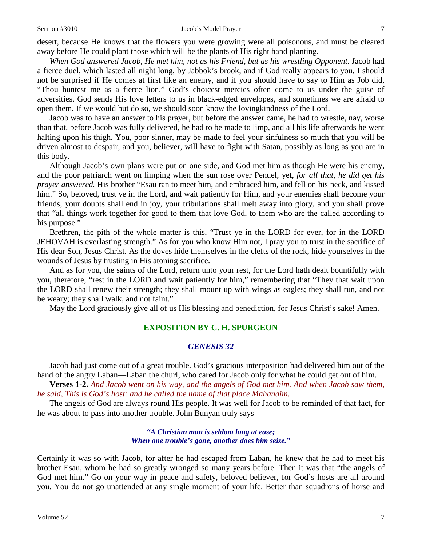#### Sermon #3010 **Sermon #3010** Jacob's Model Prayer 7

desert, because He knows that the flowers you were growing were all poisonous, and must be cleared away before He could plant those which will be the plants of His right hand planting.

*When God answered Jacob, He met him, not as his Friend, but as his wrestling Opponent*. Jacob had a fierce duel, which lasted all night long, by Jabbok's brook, and if God really appears to you, I should not be surprised if He comes at first like an enemy, and if you should have to say to Him as Job did, "Thou huntest me as a fierce lion." God's choicest mercies often come to us under the guise of adversities. God sends His love letters to us in black-edged envelopes, and sometimes we are afraid to open them. If we would but do so, we should soon know the lovingkindness of the Lord.

Jacob was to have an answer to his prayer, but before the answer came, he had to wrestle, nay, worse than that, before Jacob was fully delivered, he had to be made to limp, and all his life afterwards he went halting upon his thigh. You, poor sinner, may be made to feel your sinfulness so much that you will be driven almost to despair, and you, believer, will have to fight with Satan, possibly as long as you are in this body.

Although Jacob's own plans were put on one side, and God met him as though He were his enemy, and the poor patriarch went on limping when the sun rose over Penuel, yet, *for all that, he did get his prayer answered.* His brother "Esau ran to meet him, and embraced him, and fell on his neck, and kissed him." So, beloved, trust ye in the Lord, and wait patiently for Him, and your enemies shall become your friends, your doubts shall end in joy, your tribulations shall melt away into glory, and you shall prove that "all things work together for good to them that love God, to them who are the called according to his purpose."

Brethren, the pith of the whole matter is this, "Trust ye in the LORD for ever, for in the LORD JEHOVAH is everlasting strength." As for you who know Him not, I pray you to trust in the sacrifice of His dear Son, Jesus Christ. As the doves hide themselves in the clefts of the rock, hide yourselves in the wounds of Jesus by trusting in His atoning sacrifice.

And as for you, the saints of the Lord, return unto your rest, for the Lord hath dealt bountifully with you, therefore, "rest in the LORD and wait patiently for him," remembering that "They that wait upon the LORD shall renew their strength; they shall mount up with wings as eagles; they shall run, and not be weary; they shall walk, and not faint."

May the Lord graciously give all of us His blessing and benediction, for Jesus Christ's sake! Amen.

## **EXPOSITION BY C. H. SPURGEON**

#### *GENESIS 32*

Jacob had just come out of a great trouble. God's gracious interposition had delivered him out of the hand of the angry Laban—Laban the churl, who cared for Jacob only for what he could get out of him.

**Verses 1-2.** *And Jacob went on his way, and the angels of God met him. And when Jacob saw them, he said, This is God's host: and he called the name of that place Mahanaim*.

The angels of God are always round His people. It was well for Jacob to be reminded of that fact, for he was about to pass into another trouble. John Bunyan truly says—

> *"A Christian man is seldom long at ease; When one trouble's gone, another does him seize."*

Certainly it was so with Jacob, for after he had escaped from Laban, he knew that he had to meet his brother Esau, whom he had so greatly wronged so many years before. Then it was that "the angels of God met him." Go on your way in peace and safety, beloved believer, for God's hosts are all around you. You do not go unattended at any single moment of your life. Better than squadrons of horse and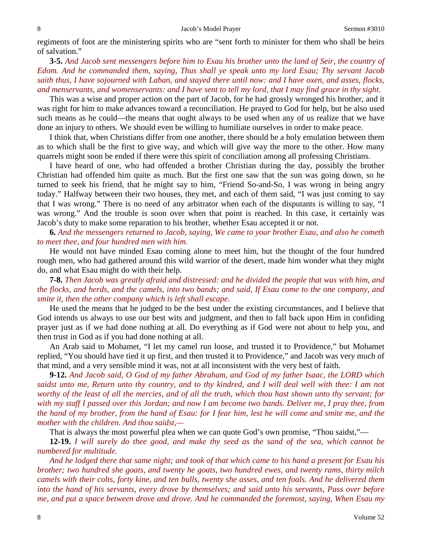regiments of foot are the ministering spirits who are "sent forth to minister for them who shall be heirs of salvation."

**3-5.** *And Jacob sent messengers before him to Esau his brother unto the land of Seir, the country of Edom. And he commanded them, saying, Thus shall ye speak unto my lord Esau; Thy servant Jacob saith thus, I have sojourned with Laban, and stayed there until now: and I have oxen, and asses, flocks, and menservants, and womenservants: and I have sent to tell my lord, that I may find grace in thy sight*.

This was a wise and proper action on the part of Jacob, for he had grossly wronged his brother, and it was right for him to make advances toward a reconciliation. He prayed to God for help, but he also used such means as he could—the means that ought always to be used when any of us realize that we have done an injury to others. We should even be willing to humiliate ourselves in order to make peace.

I think that, when Christians differ from one another, there should be a holy emulation between them as to which shall be the first to give way, and which will give way the more to the other. How many quarrels might soon be ended if there were this spirit of conciliation among all professing Christians.

I have heard of one, who had offended a brother Christian during the day, possibly the brother Christian had offended him quite as much. But the first one saw that the sun was going down, so he turned to seek his friend, that he might say to him, "Friend So-and-So, I was wrong in being angry today." Halfway between their two houses, they met, and each of them said, "I was just coming to say that I was wrong." There is no need of any arbitrator when each of the disputants is willing to say, "I was wrong." And the trouble is soon over when that point is reached. In this case, it certainly was Jacob's duty to make some reparation to his brother, whether Esau accepted it or not.

**6.** *And the messengers returned to Jacob, saying, We came to your brother Esau, and also he cometh to meet thee, and four hundred men with him*.

He would not have minded Esau coming alone to meet him, but the thought of the four hundred rough men, who had gathered around this wild warrior of the desert, made him wonder what they might do, and what Esau might do with their help.

**7-8.** *Then Jacob was greatly afraid and distressed: and he divided the people that was with him, and the flocks, and herds, and the camels, into two bands; and said, If Esau come to the one company, and smite it, then the other company which is left shall escape*.

He used the means that he judged to be the best under the existing circumstances, and I believe that God intends us always to use our best wits and judgment, and then to fall back upon Him in confiding prayer just as if we had done nothing at all. Do everything as if God were not about to help you, and then trust in God as if you had done nothing at all.

An Arab said to Mohamet, "I let my camel run loose, and trusted it to Providence," but Mohamet replied, "You should have tied it up first, and then trusted it to Providence," and Jacob was very much of that mind, and a very sensible mind it was, not at all inconsistent with the very best of faith.

**9-12.** *And Jacob said, O God of my father Abraham, and God of my father Isaac, the LORD which saidst unto me, Return unto thy country, and to thy kindred, and I will deal well with thee: I am not worthy of the least of all the mercies, and of all the truth, which thou hast shown unto thy servant; for with my staff I passed over this Jordan; and now I am become two bands. Deliver me, I pray thee, from the hand of my brother, from the hand of Esau: for I fear him, lest he will come and smite me, and the mother with the children. And thou saidst,—*

That is always the most powerful plea when we can quote God's own promise, "Thou saidst,"—

**12-19.** *I will surely do thee good, and make thy seed as the sand of the sea, which cannot be numbered for multitude.* 

*And he lodged there that same night; and took of that which came to his hand a present for Esau his brother; two hundred she goats, and twenty he goats, two hundred ewes, and twenty rams, thirty milch camels with their colts, forty kine, and ten bulls, twenty she asses, and ten foals. And he delivered them into the hand of his servants, every drove by themselves; and said unto his servants, Pass over before me, and put a space between drove and drove. And he commanded the foremost, saying, When Esau my*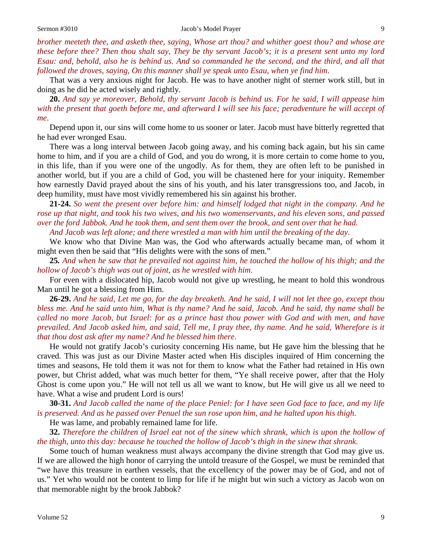*brother meeteth thee, and asketh thee, saying, Whose art thou? and whither goest thou? and whose are these before thee? Then thou shalt say, They be thy servant Jacob's; it is a present sent unto my lord Esau: and, behold, also he is behind us. And so commanded he the second, and the third, and all that followed the droves, saying, On this manner shall ye speak unto Esau, when ye find him*.

That was a very anxious night for Jacob. He was to have another night of sterner work still, but in doing as he did he acted wisely and rightly.

**20.** *And say ye moreover, Behold, thy servant Jacob is behind us. For he said, I will appease him with the present that goeth before me, and afterward I will see his face; peradventure he will accept of me*.

Depend upon it, our sins will come home to us sooner or later. Jacob must have bitterly regretted that he had ever wronged Esau.

There was a long interval between Jacob going away, and his coming back again, but his sin came home to him, and if you are a child of God, and you do wrong, it is more certain to come home to you, in this life, than if you were one of the ungodly. As for them, they are often left to be punished in another world, but if you are a child of God, you will be chastened here for your iniquity. Remember how earnestly David prayed about the sins of his youth, and his later transgressions too, and Jacob, in deep humility, must have most vividly remembered his sin against his brother.

**21-24.** *So went the present over before him: and himself lodged that night in the company. And he rose up that night, and took his two wives, and his two womenservants, and his eleven sons, and passed over the ford Jabbok. And he took them, and sent them over the brook, and sent over that he had.* 

*And Jacob was left alone; and there wrestled a man with him until the breaking of the day*.

We know who that Divine Man was, the God who afterwards actually became man, of whom it might even then be said that "His delights were with the sons of men."

**25***. And when he saw that he prevailed not against him, he touched the hollow of his thigh; and the hollow of Jacob's thigh was out of joint, as he wrestled with him*.

For even with a dislocated hip, Jacob would not give up wrestling, he meant to hold this wondrous Man until he got a blessing from Him.

**26-29.** *And he said, Let me go, for the day breaketh. And he said, I will not let thee go, except thou bless me. And he said unto him, What is thy name? And he said, Jacob. And he said, thy name shall be called no more Jacob, but Israel: for as a prince hast thou power with God and with men, and have prevailed. And Jacob asked him, and said, Tell me, I pray thee, thy name. And he said, Wherefore is it that thou dost ask after my name? And he blessed him there*.

He would not gratify Jacob's curiosity concerning His name, but He gave him the blessing that he craved. This was just as our Divine Master acted when His disciples inquired of Him concerning the times and seasons, He told them it was not for them to know what the Father had retained in His own power, but Christ added, what was much better for them, "Ye shall receive power, after that the Holy Ghost is come upon you." He will not tell us all we want to know, but He will give us all we need to have. What a wise and prudent Lord is ours!

**30-31.** *And Jacob called the name of the place Peniel: for I have seen God face to face, and my life is preserved. And as he passed over Penuel the sun rose upon him, and he halted upon his thigh*.

He was lame, and probably remained lame for life.

**32.** *Therefore the children of Israel eat not of the sinew which shrank, which is upon the hollow of the thigh, unto this day: because he touched the hollow of Jacob's thigh in the sinew that shrank*.

Some touch of human weakness must always accompany the divine strength that God may give us. If we are allowed the high honor of carrying the untold treasure of the Gospel, we must be reminded that "we have this treasure in earthen vessels, that the excellency of the power may be of God, and not of us." Yet who would not be content to limp for life if he might but win such a victory as Jacob won on that memorable night by the brook Jabbok?